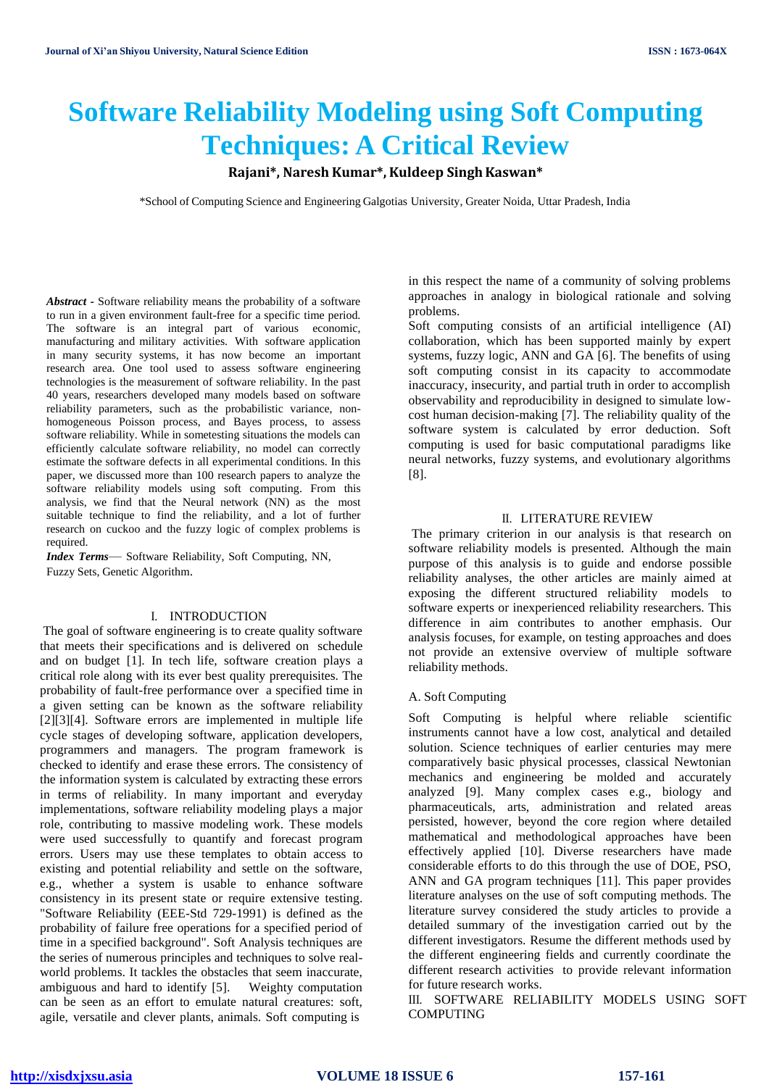# **Software Reliability Modeling using Soft Computing Techniques: A Critical Review**

# **Rajani\*, Naresh Kumar\*, Kuldeep SinghKaswan\***

\*School of Computing Science and Engineering Galgotias University, Greater Noida, Uttar Pradesh, India

*Abstract* **-** Software reliability means the probability of a software to run in a given environment fault-free for a specific time period. The software is an integral part of various economic, manufacturing and military activities. With software application in many security systems, it has now become an important research area. One tool used to assess software engineering technologies is the measurement of software reliability. In the past 40 years, researchers developed many models based on software reliability parameters, such as the probabilistic variance, nonhomogeneous Poisson process, and Bayes process, to assess software reliability. While in sometesting situations the models can efficiently calculate software reliability, no model can correctly estimate the software defects in all experimental conditions. In this paper, we discussed more than 100 research papers to analyze the software reliability models using soft computing. From this analysis, we find that the Neural network (NN) as the most suitable technique to find the reliability, and a lot of further research on cuckoo and the fuzzy logic of complex problems is required.

*Index Terms*— Software Reliability, Soft Computing, NN, Fuzzy Sets, Genetic Algorithm.

### I. INTRODUCTION

The goal of software engineering is to create quality software that meets their specifications and is delivered on schedule and on budget [1]. In tech life, software creation plays a critical role along with its ever best quality prerequisites. The probability of fault-free performance over a specified time in a given setting can be known as the software reliability [2][3][4]. Software errors are implemented in multiple life cycle stages of developing software, application developers, programmers and managers. The program framework is checked to identify and erase these errors. The consistency of the information system is calculated by extracting these errors in terms of reliability. In many important and everyday implementations, software reliability modeling plays a major role, contributing to massive modeling work. These models were used successfully to quantify and forecast program errors. Users may use these templates to obtain access to existing and potential reliability and settle on the software, e.g., whether a system is usable to enhance software consistency in its present state or require extensive testing. "Software Reliability (EEE-Std 729-1991) is defined as the probability of failure free operations for a specified period of time in a specified background". Soft Analysis techniques are the series of numerous principles and techniques to solve realworld problems. It tackles the obstacles that seem inaccurate, ambiguous and hard to identify [5]. Weighty computation can be seen as an effort to emulate natural creatures: soft, agile, versatile and clever plants, animals. Soft computing is

in this respect the name of a community of solving problems approaches in analogy in biological rationale and solving problems.

Soft computing consists of an artificial intelligence (AI) collaboration, which has been supported mainly by expert systems, fuzzy logic, ANN and GA [6]. The benefits of using soft computing consist in its capacity to accommodate inaccuracy, insecurity, and partial truth in order to accomplish observability and reproducibility in designed to simulate lowcost human decision-making [7]. The reliability quality of the software system is calculated by error deduction. Soft computing is used for basic computational paradigms like neural networks, fuzzy systems, and evolutionary algorithms [8].

## II. LITERATURE REVIEW

The primary criterion in our analysis is that research on software reliability models is presented. Although the main purpose of this analysis is to guide and endorse possible reliability analyses, the other articles are mainly aimed at exposing the different structured reliability models to software experts or inexperienced reliability researchers. This difference in aim contributes to another emphasis. Our analysis focuses, for example, on testing approaches and does not provide an extensive overview of multiple software reliability methods.

# A. Soft Computing

Soft Computing is helpful where reliable scientific instruments cannot have a low cost, analytical and detailed solution. Science techniques of earlier centuries may mere comparatively basic physical processes, classical Newtonian mechanics and engineering be molded and accurately analyzed [9]. Many complex cases e.g., biology and pharmaceuticals, arts, administration and related areas persisted, however, beyond the core region where detailed mathematical and methodological approaches have been effectively applied [10]. Diverse researchers have made considerable efforts to do this through the use of DOE, PSO, ANN and GA program techniques [11]. This paper provides literature analyses on the use of soft computing methods. The literature survey considered the study articles to provide a detailed summary of the investigation carried out by the different investigators. Resume the different methods used by the different engineering fields and currently coordinate the different research activities to provide relevant information for future research works.

III. SOFTWARE RELIABILITY MODELS USING SOFT COMPUTING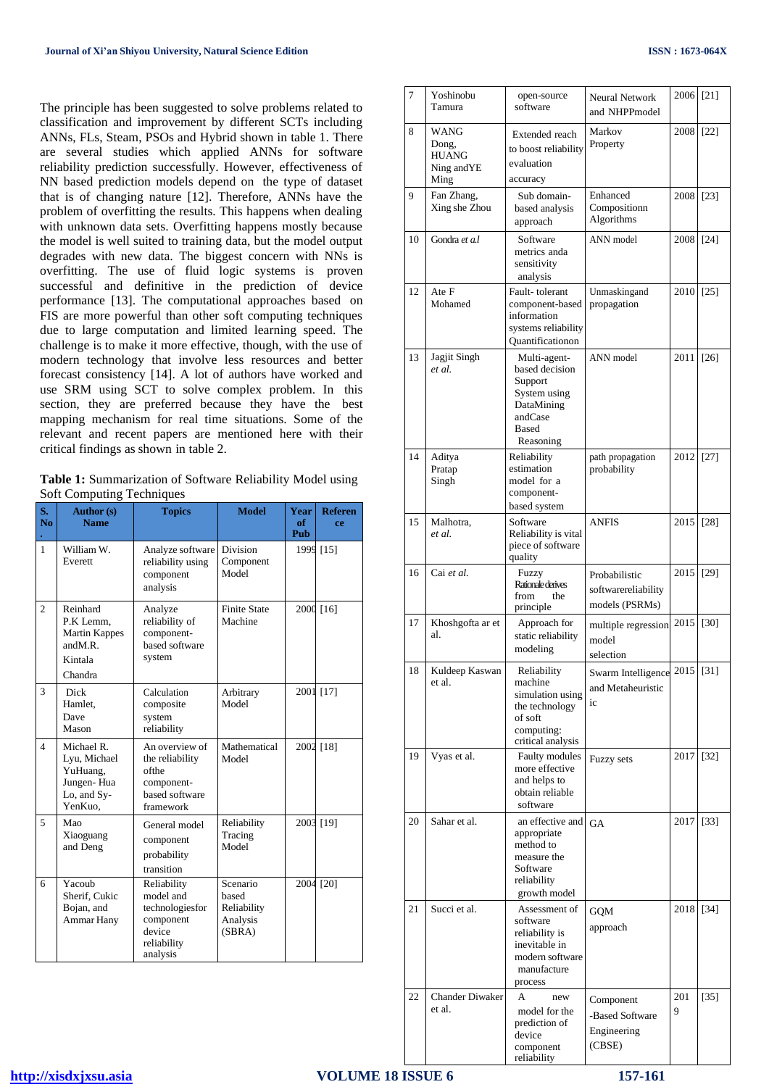The principle has been suggested to solve problems related to classification and improvement by different SCTs including ANNs, FLs, Steam, PSOs and Hybrid shown in table 1. There are several studies which applied ANNs for software reliability prediction successfully. However, effectiveness of NN based prediction models depend on the type of dataset that is of changing nature [12]. Therefore, ANNs have the problem of overfitting the results. This happens when dealing with unknown data sets. Overfitting happens mostly because the model is well suited to training data, but the model output degrades with new data. The biggest concern with NNs is overfitting. The use of fluid logic systems is proven successful and definitive in the prediction of device performance [13]. The computational approaches based on FIS are more powerful than other soft computing techniques due to large computation and limited learning speed. The challenge is to make it more effective, though, with the use of modern technology that involve less resources and better forecast consistency [14]. A lot of authors have worked and use SRM using SCT to solve complex problem. In this section, they are preferred because they have the best mapping mechanism for real time situations. Some of the relevant and recent papers are mentioned here with their critical findings as shown in table 2.

**Table 1:** Summarization of Software Reliability Model using Soft Computing Techniques

| S.<br>N <sub>0</sub>     | o<br><b>Author</b> (s)<br><b>Name</b>                                           | <b>Topics</b>                                                                                 | <b>Model</b>                                           | <b>Year</b><br>of<br>Pub | <b>Referen</b><br>ce |
|--------------------------|---------------------------------------------------------------------------------|-----------------------------------------------------------------------------------------------|--------------------------------------------------------|--------------------------|----------------------|
| $\mathbf{1}$             | William W.<br>Everett                                                           | Analyze software<br>reliability using<br>component<br>analysis                                | <b>Division</b><br>Component<br>Model                  |                          | 1999 [15]            |
| $\overline{c}$           | Reinhard<br>P.K Lemm,<br><b>Martin Kappes</b><br>and M.R.<br>Kintala<br>Chandra | Analyze<br>reliability of<br>component-<br>based software<br>system                           | <b>Finite State</b><br>Machine                         |                          | 2000 [16]            |
| 3                        | Dick<br>Hamlet.<br>Dave<br>Mason                                                | Calculation<br>composite<br>system<br>reliability                                             | Arbitrary<br>Model                                     |                          | 2001 [17]            |
| $\overline{A}$           | Michael R.<br>Lyu, Michael<br>YuHuang,<br>Jungen-Hua<br>Lo, and Sy-<br>YenKuo.  | An overview of<br>the reliability<br>ofthe<br>component-<br>based software<br>framework       | Mathematical<br>Model                                  | 2002                     | [18]                 |
| $\overline{\phantom{0}}$ | Mao<br>Xiaoguang<br>and Deng                                                    | General model<br>component<br>probability<br>transition                                       | Reliability<br>Tracing<br>Model                        |                          | 2003 [19]            |
| 6                        | Yacoub<br>Sherif, Cukic<br>Bojan, and<br>Ammar Hany                             | Reliability<br>model and<br>technologiesfor<br>component<br>device<br>reliability<br>analysis | Scenario<br>based<br>Reliability<br>Analysis<br>(SBRA) | 2004                     | [20]                 |

| 7  | Yoshinobu<br>Tamura                                  | open-source<br>software                                                                                         | <b>Neural Network</b><br>and NHPPmodel                 | 2006 [21] |        |
|----|------------------------------------------------------|-----------------------------------------------------------------------------------------------------------------|--------------------------------------------------------|-----------|--------|
| 8  | WANG<br>Dong,<br><b>HUANG</b><br>Ning and YE<br>Ming | Extended reach<br>to boost reliability<br>evaluation<br>accuracy                                                | Markov<br>Property                                     | 2008      | $[22]$ |
| 9  | Fan Zhang,<br>Xing she Zhou                          | Sub domain-<br>based analysis<br>approach                                                                       | Enhanced<br>Compositionn<br>Algorithms                 | 2008 [23] |        |
| 10 | Gondra et a.l                                        | Software<br>metrics anda<br>sensitivity<br>analysis                                                             | ANN model                                              | 2008      | $[24]$ |
| 12 | Ate F<br>Mohamed                                     | Fault-tolerant<br>component-based<br>information<br>systems reliability<br>Ouantificationon                     | Unmaskingand<br>propagation                            | 2010      | [25]   |
| 13 | Jagjit Singh<br>et al.                               | Multi-agent-<br>based decision<br>Support<br>System using<br>DataMining<br>andCase<br><b>Based</b><br>Reasoning | ANN model                                              | 2011      | [26]   |
| 14 | Aditya<br>Pratap<br>Singh                            | Reliability<br>estimation<br>model for a<br>component-<br>based system                                          | path propagation<br>probability                        | 2012      | $[27]$ |
| 15 | Malhotra,<br>et al.                                  | Software<br>Reliability is vital<br>piece of software<br>quality                                                | <b>ANFIS</b>                                           | 2015      | [28]   |
| 16 | Cai et al.                                           | Fuzzy<br><b>Rationale derives</b><br>from<br>the<br>principle                                                   | Probabilistic<br>softwarereliability<br>models (PSRMs) | 2015      | [29]   |
| 17 | Khoshgofta ar et<br>al.                              | Approach for<br>static reliability<br>modeling                                                                  | multiple regression<br>model<br>selection              | 2015      | [30]   |
| 18 | Kuldeep Kaswan<br>et al.                             | Reliability<br>machine<br>simulation using<br>the technology<br>of soft<br>computing:<br>critical analysis      | Swarm Intelligence<br>and Metaheuristic<br>ic          | 2015      | [31]   |
| 19 | Vyas et al.                                          | <b>Faulty modules</b><br>more effective<br>and helps to<br>obtain reliable<br>software                          | Fuzzy sets                                             | 2017      | $[32]$ |
| 20 | Sahar et al.                                         | an effective and<br>appropriate<br>method to<br>measure the<br>Software<br>reliability<br>growth model          | <b>GA</b>                                              | 2017      | $[33]$ |
| 21 | Succi et al.                                         | Assessment of<br>software<br>reliability is<br>inevitable in<br>modern software<br>manufacture<br>process       | <b>GQM</b><br>approach                                 | 2018      | $[34]$ |
| 22 | <b>Chander Diwaker</b><br>et al.                     | А<br>new<br>model for the<br>prediction of<br>device<br>component<br>reliability                                | Component<br>-Based Software<br>Engineering<br>(CBSE)  | 201<br>9  | $[35]$ |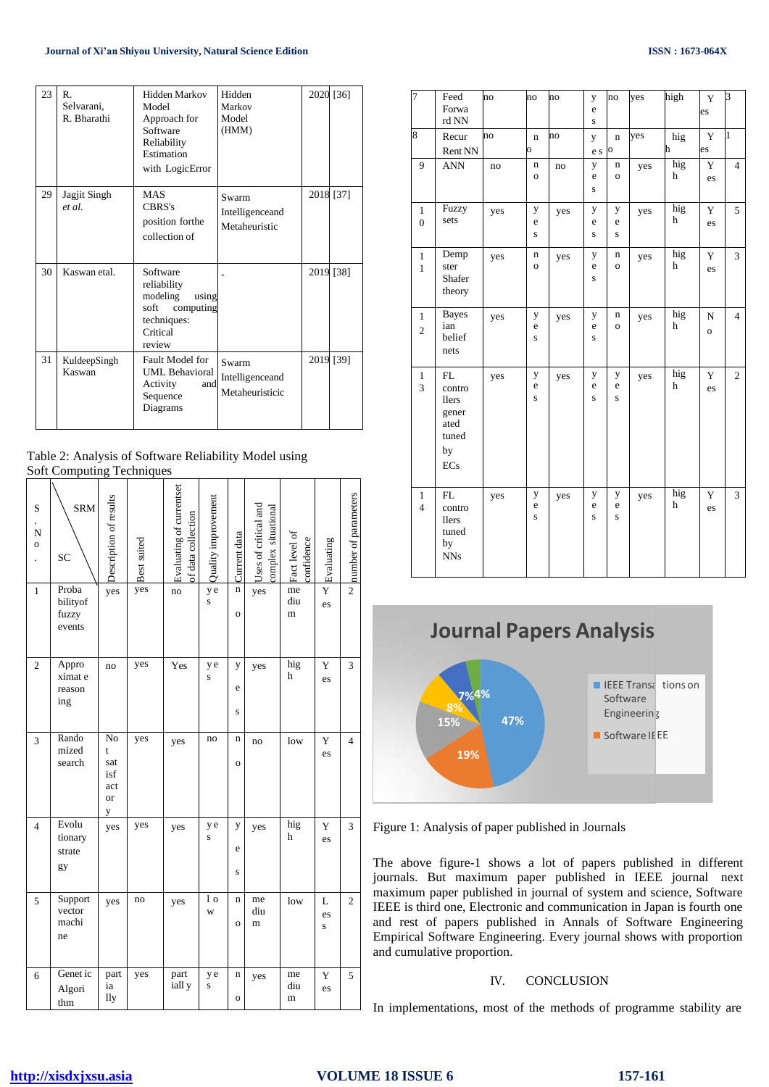| 23 | $\mathbb{R}$ .<br>Selvarani,<br>R. Bharathi | <b>Hidden Markov</b><br>Model<br>Approach for<br>Software<br>Reliability<br>Estimation<br>with LogicError | Hidden<br>Markov<br>Model<br>(HMM)          |      | 2020 [36] |
|----|---------------------------------------------|-----------------------------------------------------------------------------------------------------------|---------------------------------------------|------|-----------|
| 29 | Jagjit Singh<br>et al.                      | <b>MAS</b><br>CBRS's<br>position forthe<br>collection of                                                  | Swarm<br>Intelligenceand<br>Metaheuristic   |      | 2018 [37] |
| 30 | Kaswan etal                                 | Software<br>reliability<br>modeling<br>using<br>soft<br>computing<br>techniques:<br>Critical<br>review    |                                             | 2019 | $[38]$    |
| 31 | KuldeepSingh<br>Kaswan                      | Fault Model for<br><b>UML Behavioral</b><br>Activity<br>and<br>Sequence<br>Diagrams                       | Swarm<br>Intelligenceand<br>Metaheuristicic | 2019 | $[39]$    |

| Table 2: Analysis of Software Reliability Model using |  |
|-------------------------------------------------------|--|
| <b>Soft Computing Techniques</b>                      |  |

| S<br>N<br>$\mathbf 0$<br>$\ddot{\phantom{0}}$ | <b>SRM</b><br>SC                     | Description of results                         | Best suited | Evaluating of currentset<br>of data collection | Quality improvement | Current data        | Uses of critical and<br>complex situational | Fact level of<br>confidence | Evaluating             | number of parameters |
|-----------------------------------------------|--------------------------------------|------------------------------------------------|-------------|------------------------------------------------|---------------------|---------------------|---------------------------------------------|-----------------------------|------------------------|----------------------|
| $\mathbf{1}$                                  | Proba<br>bilityof<br>fuzzy<br>events | yes                                            | yes         | no                                             | y e<br>S            | n<br>$\mathbf 0$    | yes                                         | me<br>diu<br>m              | Y<br>es                | $\overline{c}$       |
| $\overline{c}$                                | Appro<br>ximat e<br>reason<br>ing    | no                                             | yes         | Yes                                            | y e<br>S            | y<br>e<br>S         | yes                                         | hig<br>h                    | Y<br>es                | 3                    |
| 3                                             | Rando<br>mized<br>search             | No<br>t<br>sat<br>isf<br>act<br><b>or</b><br>y | yes         | yes                                            | no                  | n<br>$\mathbf 0$    | no                                          | low                         | Y<br>es                | $\overline{4}$       |
| $\overline{4}$                                | Evolu<br>tionary<br>strate<br>gy     | yes                                            | yes         | yes                                            | y e<br>S            | y<br>e<br>S         | yes                                         | hig<br>h                    | Y<br>es                | 3                    |
| 5                                             | Support<br>vector<br>machi<br>ne     | yes                                            | no          | yes                                            | 1o<br>W             | n<br>$\overline{O}$ | me<br>diu<br>m                              | low                         | L<br>es<br>$\mathbf S$ | 2                    |
| 6                                             | Genet ic<br>Algori<br>thm            | part<br>ia<br>lly                              | yes         | part<br>iall y                                 | y e<br>S            | n<br>$\overline{O}$ | yes                                         | me<br>diu<br>m              | Y<br>es                | 5                    |

| 7                              | Feed<br>Forwa<br>rd NN                                              | no  | $\overline{no}$        | no  | y<br>e<br>$\mathbf S$  | no                     | yes | high     | Y<br>es                   | 3              |
|--------------------------------|---------------------------------------------------------------------|-----|------------------------|-----|------------------------|------------------------|-----|----------|---------------------------|----------------|
| 8                              | Recur<br>Rent NN                                                    | no  | $\mathbf n$<br>0       | no  | y<br>e s               | $\mathbf n$<br>$\circ$ | yes | hig<br>h | Y<br>es                   | $\mathbf{1}$   |
| 9                              | <b>ANN</b>                                                          | no  | n<br>$\mathbf{o}$      | no  | y<br>e<br>S            | n<br>$\mathbf{o}$      | yes | hig<br>h | Y<br>es                   | $\overline{4}$ |
| $\mathbf{1}$<br>$\overline{0}$ | Fuzzy<br>sets                                                       | yes | y<br>e<br>S            | yes | y<br>e<br>S            | y<br>e<br>S            | yes | hig<br>h | Y<br>es                   | 5              |
| $\mathbf{1}$<br>$\mathbf{1}$   | Demp<br>ster<br>Shafer<br>theory                                    | yes | n<br>$\mathbf{o}$      | yes | y<br>e<br>S            | n<br>$\mathbf{o}$      | yes | hig<br>h | Y<br>es                   | 3              |
| $\mathbf{1}$<br>$\overline{c}$ | <b>Bayes</b><br>ian<br>belief<br>nets                               | yes | y<br>e<br>$\mathbf{s}$ | yes | y<br>e<br>$\mathbf{s}$ | n<br>$\circ$           | yes | hig<br>h | ${\bf N}$<br>$\mathbf{o}$ | $\overline{4}$ |
| $\mathbf{1}$<br>$\overline{3}$ | FL<br>contro<br><b>llers</b><br>gener<br>ated<br>tuned<br>by<br>ECs | yes | y<br>e<br>$\bf S$      | yes | y<br>e<br>$\bf S$      | у<br>e<br>$\mathbf S$  | yes | hig<br>h | Y<br>es                   | $\overline{c}$ |
| $\mathbf{1}$<br>$\overline{4}$ | ${\rm FL}$<br>contro<br><b>llers</b><br>tuned<br>by<br><b>NNs</b>   | yes | y<br>e<br>$\mathbf{s}$ | yes | y<br>e<br>$\bf S$      | y<br>e<br>S            | yes | hig<br>h | Y<br>es                   | 3              |



Figure 1: Analysis of paper published in Journals

The above figure-1 shows a lot of papers published in different journals. But maximum paper published in IEEE journal next maximum paper published in journal of system and science, Software IEEE is third one, Electronic and communication in Japan is fourth one and rest of papers published in Annals of Software Engineering Empirical Software Engineering. Every journal shows with proportion and cumulative proportion.

# IV. CONCLUSION

In implementations, most of the methods of programme stability are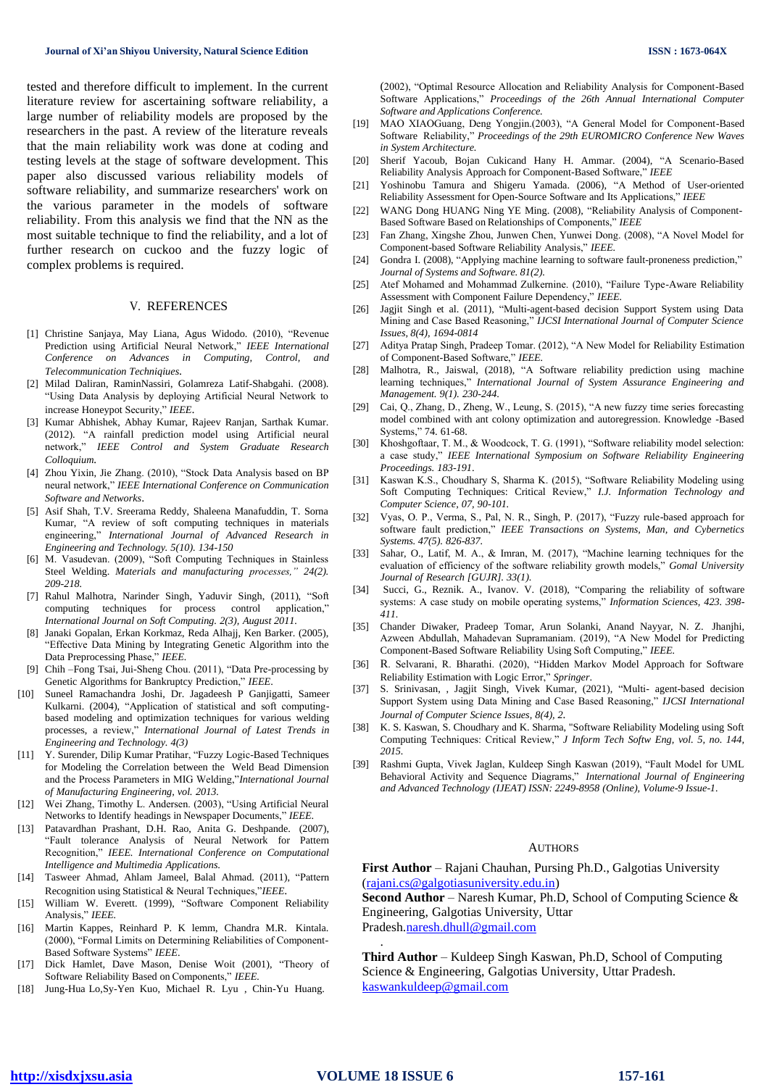tested and therefore difficult to implement. In the current literature review for ascertaining software reliability, a large number of reliability models are proposed by the researchers in the past. A review of the literature reveals that the main reliability work was done at coding and testing levels at the stage of software development. This paper also discussed various reliability models of software reliability, and summarize researchers' work on the various parameter in the models of software reliability. From this analysis we find that the NN as the most suitable technique to find the reliability, and a lot of further research on cuckoo and the fuzzy logic of complex problems is required.

#### V. REFERENCES

- [1] Christine Sanjaya, May Liana, Agus Widodo. (2010), "Revenue Prediction using Artificial Neural Network," *IEEE International Conference on Advances in Computing, Control, and Telecommunication Techniqiues*.
- [2] Milad Daliran, RaminNassiri, Golamreza Latif-Shabgahi. (2008). "Using Data Analysis by deploying Artificial Neural Network to increase Honeypot Security," *IEEE*.
- [3] Kumar Abhishek, Abhay Kumar, Rajeev Ranjan, Sarthak Kumar. (2012). "A rainfall prediction model using Artificial neural network," *IEEE Control and System Graduate Research Colloquium.*
- [4] Zhou Yixin, Jie Zhang. (2010), "Stock Data Analysis based on BP neural network," *IEEE International Conference on Communication Software and Networks*.
- [5] Asif Shah, T.V. Sreerama Reddy, Shaleena Manafuddin, T. Sorna Kumar, "A review of soft computing techniques in materials engineering," *International Journal of Advanced Research in Engineering and Technology. 5(10). 134-150*
- [6] M. Vasudevan. (2009), "Soft Computing Techniques in Stainless Steel Welding. *Materials and manufacturing processes," 24(2). 209-218.*
- [7] Rahul Malhotra, Narinder Singh, Yaduvir Singh, (2011), "Soft computing techniques for process control application," *International Journal on Soft Computing. 2(3), August 2011.*
- [8] Janaki Gopalan, Erkan Korkmaz, Reda Alhajj, Ken Barker. (2005), "Effective Data Mining by Integrating Genetic Algorithm into the Data Preprocessing Phase," *IEEE.*
- [9] Chih –Fong Tsai, Jui-Sheng Chou. (2011), "Data Pre-processing by Genetic Algorithms for Bankruptcy Prediction," *IEEE*.
- [10] Suneel Ramachandra Joshi, Dr. Jagadeesh P Ganjigatti, Sameer Kulkarni. (2004), "Application of statistical and soft computingbased modeling and optimization techniques for various welding processes, a review," *International Journal of Latest Trends in Engineering and Technology. 4(3)*
- [11] Y. Surender, Dilip Kumar Pratihar, "Fuzzy Logic-Based Techniques for Modeling the Correlation between the Weld Bead Dimension and the Process Parameters in MIG Welding,"*International Journal of Manufacturing Engineering, vol. 2013.*
- [12] Wei Zhang, Timothy L. Andersen. (2003), "Using Artificial Neural Networks to Identify headings in Newspaper Documents," *IEEE*.
- [13] Patavardhan Prashant, D.H. Rao, Anita G. Deshpande. (2007), "Fault tolerance Analysis of Neural Network for Pattern Recognition," *IEEE. International Conference on Computational Intelligence and Multimedia Applications*.
- [14] Tasweer Ahmad, Ahlam Jameel, Balal Ahmad. (2011), "Pattern Recognition using Statistical & Neural Techniques,"*IEEE*.
- [15] William W. Everett. (1999), "Software Component Reliability Analysis," *IEEE.*
- [16] Martin Kappes, Reinhard P. K lemm, Chandra M.R. Kintala. (2000), "Formal Limits on Determining Reliabilities of Component-Based Software Systems" *IEEE*.
- [17] Dick Hamlet, Dave Mason, Denise Woit (2001), "Theory of Software Reliability Based on Components," *IEEE.*
- [18] Jung-Hua Lo,Sy-Yen Kuo, Michael R. Lyu , Chin-Yu Huang.

(2002), "Optimal Resource Allocation and Reliability Analysis for Component-Based Software Applications," *Proceedings of the 26th Annual International Computer Software and Applications Conference.*

- [19] MAO XIAOGuang, Deng Yongjin.(2003), "A General Model for Component-Based Software Reliability," *Proceedings of the 29th EUROMICRO Conference New Waves in System Architecture.*
- [20] Sherif Yacoub, Bojan Cukicand Hany H. Ammar. (2004), "A Scenario-Based Reliability Analysis Approach for Component-Based Software," *IEEE*
- [21] Yoshinobu Tamura and Shigeru Yamada. (2006), "A Method of User-oriented Reliability Assessment for Open-Source Software and Its Applications," *IEEE*
- [22] WANG Dong HUANG Ning YE Ming. (2008), "Reliability Analysis of Component-Based Software Based on Relationships of Components," *IEEE*
- [23] Fan Zhang, Xingshe Zhou, Junwen Chen, Yunwei Dong. (2008), "A Novel Model for Component-based Software Reliability Analysis," *IEEE.*
- [24] Gondra I. (2008), "Applying machine learning to software fault-proneness prediction," *Journal of Systems and Software. 81(2).*
- [25] Atef Mohamed and Mohammad Zulkernine. (2010), "Failure Type-Aware Reliability Assessment with Component Failure Dependency," *IEEE.*
- [26] Jagjit Singh et al. (2011), "Multi-agent-based decision Support System using Data Mining and Case Based Reasoning," *IJCSI International Journal of Computer Science Issues, 8(4), 1694-0814*
- [27] Aditya Pratap Singh, Pradeep Tomar. (2012), "A New Model for Reliability Estimation of Component-Based Software," *IEEE.*
- [28] Malhotra, R., Jaiswal, (2018), "A Software reliability prediction using machine learning techniques," *International Journal of System Assurance Engineering and Management. 9(1). 230-244*.
- [29] Cai, Q., Zhang, D., Zheng, W., Leung, S. (2015), "A new fuzzy time series forecasting model combined with ant colony optimization and autoregression. Knowledge -Based Systems," 74. 61-68.
- [30] Khoshgoftaar, T. M., & Woodcock, T. G. (1991), "Software reliability model selection: a case study," *IEEE International Symposium on Software Reliability Engineering Proceedings. 183-191*.
- [31] Kaswan K.S., Choudhary S, Sharma K. (2015), "Software Reliability Modeling using Soft Computing Techniques: Critical Review," *I.J. Information Technology and Computer Science, 07, 90-101.*
- [32] Vyas, O. P., Verma, S., Pal, N. R., Singh, P. (2017), "Fuzzy rule-based approach for software fault prediction," *IEEE Transactions on Systems, Man, and Cybernetics Systems. 47(5). 826-837.*
- [33] Sahar, O., Latif, M. A., & Imran, M. (2017), "Machine learning techniques for the evaluation of efficiency of the software reliability growth models," *Gomal University Journal of Research [GUJR]. 33(1).*
- [34] Succi, G., Reznik. A., Ivanov. V. (2018), "Comparing the reliability of software systems: A case study on mobile operating systems," *Information Sciences, 423. 398- 411.*
- [35] Chander Diwaker, Pradeep Tomar, Arun Solanki, Anand Nayyar, N. Z. Jhanjhi, Azween Abdullah, Mahadevan Supramaniam. (2019), "A New Model for Predicting Component-Based Software Reliability Using Soft Computing," *IEEE.*
- [36] R. Selvarani, R. Bharathi. (2020), "Hidden Markov Model Approach for Software Reliability Estimation with Logic Error," *Springer*.
- [37] S. Srinivasan, , Jagjit Singh, Vivek Kumar, (2021), "Multi- agent-based decision Support System using Data Mining and Case Based Reasoning," *IJCSI International Journal of Computer Science Issues, 8(4), 2.*
- K. S. Kaswan, S. Choudhary and K. Sharma, "Software Reliability Modeling using Soft Computing Techniques: Critical Review," *J Inform Tech Softw Eng, vol. 5, no. 144, 2015.*
- [39] Rashmi Gupta, Vivek Jaglan, Kuldeep Singh Kaswan (2019), "Fault Model for UML Behavioral Activity and Sequence Diagrams," *International Journal of Engineering and Advanced Technology (IJEAT) ISSN: 2249-8958 (Online), Volume-9 Issue-1.*

#### AUTHORS

**First Author** – Rajani Chauhan, Pursing Ph.D., Galgotias University (rajani.cs@galgotiasuniversity.edu.in)

**Second Author** – Naresh Kumar, Ph.D, School of Computing Science & Engineering, Galgotias University, Uttar Pradesh[.naresh.dhull@gmail.com](mailto:naresh.dhull@gmail.com)

**Third Author** – Kuldeep Singh Kaswan, Ph.D, School of Computing Science & Engineering, Galgotias University, Uttar Pradesh. [kaswankuldeep@gmail.com](mailto:kaswankuldeep@gmail.com)

.